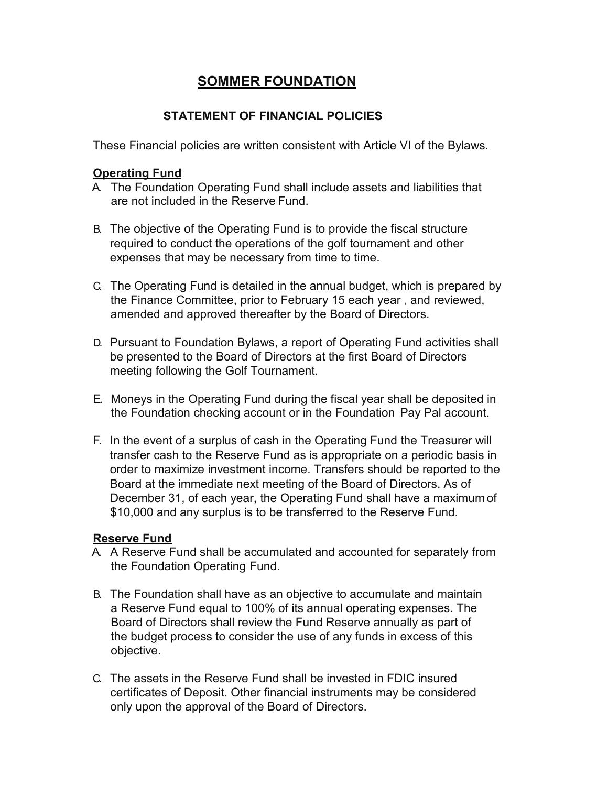# **SOMMER FOUNDATION**

## **STATEMENT OF FINANCIAL POLICIES**

These Financial policies are written consistent with Article VI of the Bylaws.

## **Operating Fund**

- A. The Foundation Operating Fund shall include assets and liabilities that are not included in the Reserve Fund.
- B. The objective of the Operating Fund is to provide the fiscal structure required to conduct the operations of the golf tournament and other expenses that may be necessary from time to time.
- C. The Operating Fund is detailed in the annual budget, which is prepared by the Finance Committee, prior to February 15 each year , and reviewed, amended and approved thereafter by the Board of Directors.
- D. Pursuant to Foundation Bylaws, a report of Operating Fund activities shall be presented to the Board of Directors at the first Board of Directors meeting following the Golf Tournament.
- E. Moneys in the Operating Fund during the fiscal year shall be deposited in the Foundation checking account or in the Foundation Pay Pal account.
- F. In the event of a surplus of cash in the Operating Fund the Treasurer will transfer cash to the Reserve Fund as is appropriate on a periodic basis in order to maximize investment income. Transfers should be reported to the Board at the immediate next meeting of the Board of Directors. As of December 31, of each year, the Operating Fund shall have a maximum of \$10,000 and any surplus is to be transferred to the Reserve Fund.

# **Reserve Fund**

- A. A Reserve Fund shall be accumulated and accounted for separately from the Foundation Operating Fund.
- B. The Foundation shall have as an objective to accumulate and maintain a Reserve Fund equal to 100% of its annual operating expenses. The Board of Directors shall review the Fund Reserve annually as part of the budget process to consider the use of any funds in excess of this objective.
- C. The assets in the Reserve Fund shall be invested in FDIC insured certificates of Deposit. Other financial instruments may be considered only upon the approval of the Board of Directors.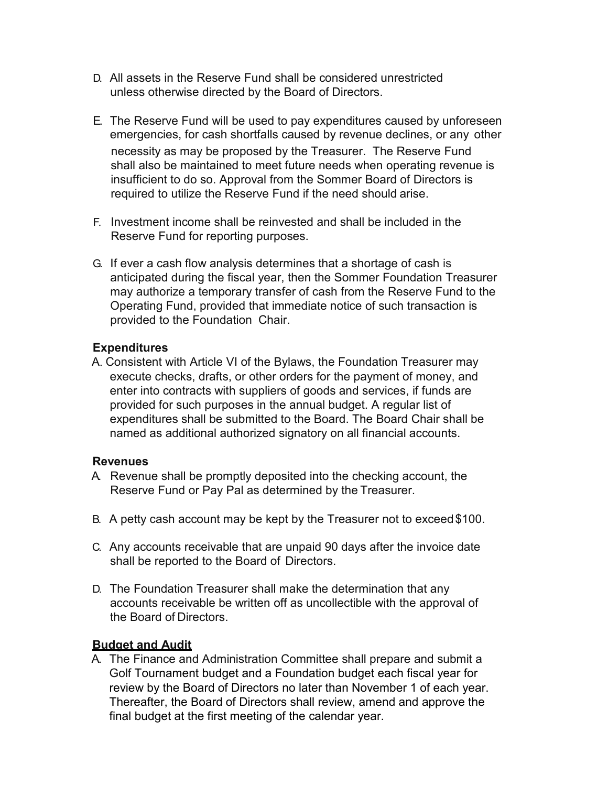- D. All assets in the Reserve Fund shall be considered unrestricted unless otherwise directed by the Board of Directors.
- E. The Reserve Fund will be used to pay expenditures caused by unforeseen emergencies, for cash shortfalls caused by revenue declines, or any other necessity as may be proposed by the Treasurer. The Reserve Fund shall also be maintained to meet future needs when operating revenue is insufficient to do so. Approval from the Sommer Board of Directors is required to utilize the Reserve Fund if the need should arise.
- F. Investment income shall be reinvested and shall be included in the Reserve Fund for reporting purposes.
- G. If ever a cash flow analysis determines that a shortage of cash is anticipated during the fiscal year, then the Sommer Foundation Treasurer may authorize a temporary transfer of cash from the Reserve Fund to the Operating Fund, provided that immediate notice of such transaction is provided to the Foundation Chair.

## **Expenditures**

A. Consistent with Article VI of the Bylaws, the Foundation Treasurer may execute checks, drafts, or other orders for the payment of money, and enter into contracts with suppliers of goods and services, if funds are provided for such purposes in the annual budget. A regular list of expenditures shall be submitted to the Board. The Board Chair shall be named as additional authorized signatory on all financial accounts.

#### **Revenues**

- A. Revenue shall be promptly deposited into the checking account, the Reserve Fund or Pay Pal as determined by the Treasurer.
- B. A petty cash account may be kept by the Treasurer not to exceed\$100.
- C. Any accounts receivable that are unpaid 90 days after the invoice date shall be reported to the Board of Directors.
- D. The Foundation Treasurer shall make the determination that any accounts receivable be written off as uncollectible with the approval of the Board of Directors.

## **Budget and Audit**

A. The Finance and Administration Committee shall prepare and submit a Golf Tournament budget and a Foundation budget each fiscal year for review by the Board of Directors no later than November 1 of each year. Thereafter, the Board of Directors shall review, amend and approve the final budget at the first meeting of the calendar year.